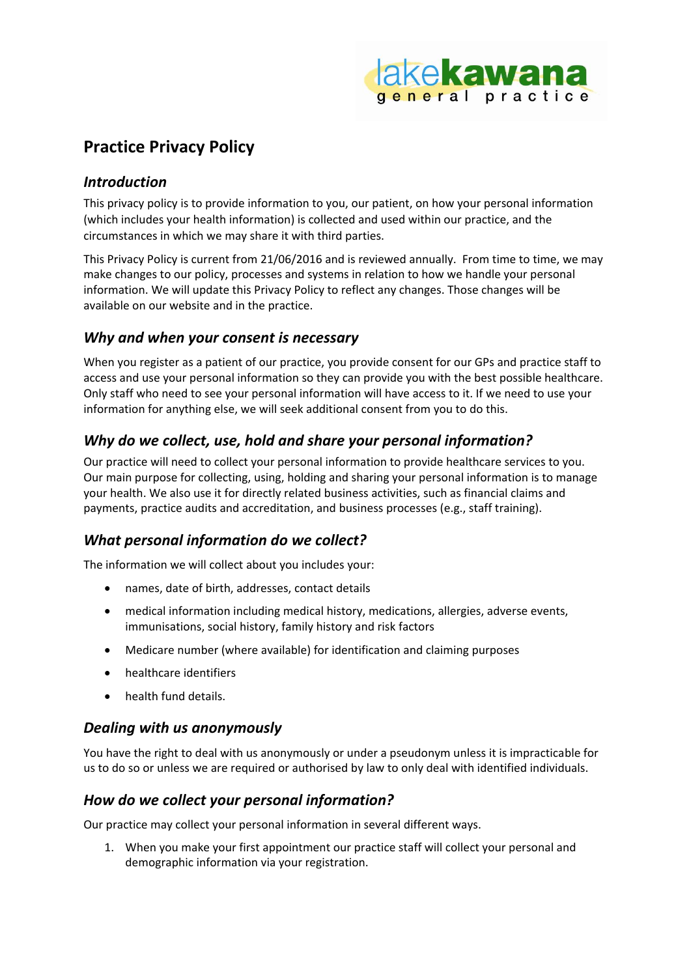

# **Practice Privacy Policy**

## *Introduction*

This privacy policy is to provide information to you, our patient, on how your personal information (which includes your health information) is collected and used within our practice, and the circumstances in which we may share it with third parties.

This Privacy Policy is current from 21/06/2016 and is reviewed annually. From time to time, we may make changes to our policy, processes and systems in relation to how we handle your personal information. We will update this Privacy Policy to reflect any changes. Those changes will be available on our website and in the practice.

# *Why and when your consent is necessary*

When you register as a patient of our practice, you provide consent for our GPs and practice staff to access and use your personal information so they can provide you with the best possible healthcare. Only staff who need to see your personal information will have access to it. If we need to use your information for anything else, we will seek additional consent from you to do this.

# *Why do we collect, use, hold and share your personal information?*

Our practice will need to collect your personal information to provide healthcare services to you. Our main purpose for collecting, using, holding and sharing your personal information is to manage your health. We also use it for directly related business activities, such as financial claims and payments, practice audits and accreditation, and business processes (e.g., staff training).

# *What personal information do we collect?*

The information we will collect about you includes your:

- names, date of birth, addresses, contact details
- medical information including medical history, medications, allergies, adverse events, immunisations, social history, family history and risk factors
- Medicare number (where available) for identification and claiming purposes
- healthcare identifiers
- health fund details.

#### *Dealing with us anonymously*

You have the right to deal with us anonymously or under a pseudonym unless it is impracticable for us to do so or unless we are required or authorised by law to only deal with identified individuals.

## *How do we collect your personal information?*

Our practice may collect your personal information in several different ways.

1. When you make your first appointment our practice staff will collect your personal and demographic information via your registration.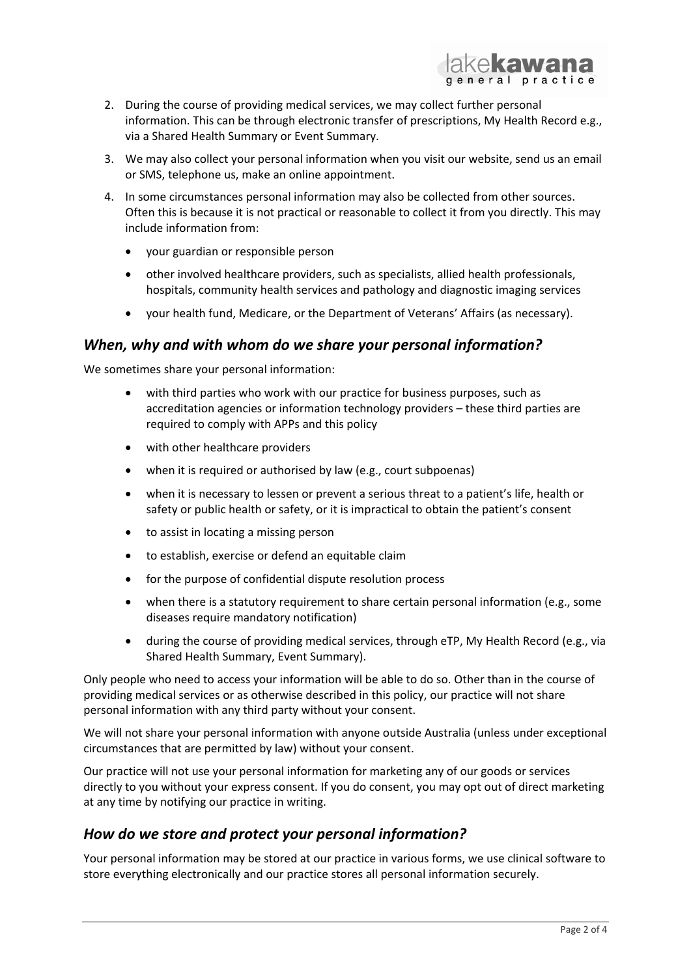

- 2. During the course of providing medical services, we may collect further personal information. This can be through electronic transfer of prescriptions, My Health Record e.g., via a Shared Health Summary or Event Summary.
- 3. We may also collect your personal information when you visit our website, send us an email or SMS, telephone us, make an online appointment.
- 4. In some circumstances personal information may also be collected from other sources. Often this is because it is not practical or reasonable to collect it from you directly. This may include information from:
	- your guardian or responsible person
	- other involved healthcare providers, such as specialists, allied health professionals, hospitals, community health services and pathology and diagnostic imaging services
	- your health fund, Medicare, or the Department of Veterans' Affairs (as necessary).

#### *When, why and with whom do we share your personal information?*

We sometimes share your personal information:

- with third parties who work with our practice for business purposes, such as accreditation agencies or information technology providers – these third parties are required to comply with APPs and this policy
- with other healthcare providers
- when it is required or authorised by law (e.g., court subpoenas)
- when it is necessary to lessen or prevent a serious threat to a patient's life, health or safety or public health or safety, or it is impractical to obtain the patient's consent
- to assist in locating a missing person
- to establish, exercise or defend an equitable claim
- for the purpose of confidential dispute resolution process
- when there is a statutory requirement to share certain personal information (e.g., some diseases require mandatory notification)
- during the course of providing medical services, through eTP, My Health Record (e.g., via Shared Health Summary, Event Summary).

Only people who need to access your information will be able to do so. Other than in the course of providing medical services or as otherwise described in this policy, our practice will not share personal information with any third party without your consent.

We will not share your personal information with anyone outside Australia (unless under exceptional circumstances that are permitted by law) without your consent.

Our practice will not use your personal information for marketing any of our goods or services directly to you without your express consent. If you do consent, you may opt out of direct marketing at any time by notifying our practice in writing.

#### *How do we store and protect your personal information?*

Your personal information may be stored at our practice in various forms, we use clinical software to store everything electronically and our practice stores all personal information securely.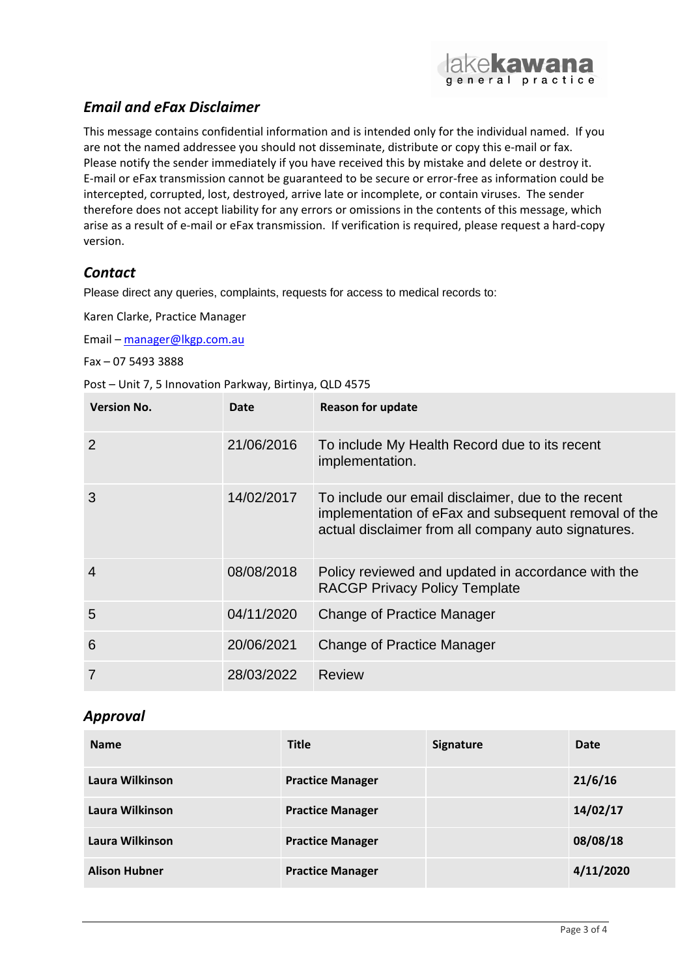

# *Email and eFax Disclaimer*

This message contains confidential information and is intended only for the individual named. If you are not the named addressee you should not disseminate, distribute or copy this e-mail or fax. Please notify the sender immediately if you have received this by mistake and delete or destroy it. E-mail or eFax transmission cannot be guaranteed to be secure or error-free as information could be intercepted, corrupted, lost, destroyed, arrive late or incomplete, or contain viruses. The sender therefore does not accept liability for any errors or omissions in the contents of this message, which arise as a result of e-mail or eFax transmission. If verification is required, please request a hard-copy version.

# *Contact*

Please direct any queries, complaints, requests for access to medical records to:

Karen Clarke, Practice Manager

Email – [manager@lkgp.com.au](mailto:manager@lkgp.com.au)

Fax – 07 5493 3888

Post – Unit 7, 5 Innovation Parkway, Birtinya, QLD 4575

| <b>Version No.</b> | Date       | <b>Reason for update</b>                                                                                                                                          |
|--------------------|------------|-------------------------------------------------------------------------------------------------------------------------------------------------------------------|
| $\overline{2}$     | 21/06/2016 | To include My Health Record due to its recent<br>implementation.                                                                                                  |
| 3                  | 14/02/2017 | To include our email disclaimer, due to the recent<br>implementation of eFax and subsequent removal of the<br>actual disclaimer from all company auto signatures. |
| 4                  | 08/08/2018 | Policy reviewed and updated in accordance with the<br><b>RACGP Privacy Policy Template</b>                                                                        |
| 5                  | 04/11/2020 | Change of Practice Manager                                                                                                                                        |
| 6                  | 20/06/2021 | <b>Change of Practice Manager</b>                                                                                                                                 |
|                    | 28/03/2022 | Review                                                                                                                                                            |

## *Approval*

| <b>Name</b>          | <b>Title</b>            | <b>Signature</b> | Date      |
|----------------------|-------------------------|------------------|-----------|
| Laura Wilkinson      | <b>Practice Manager</b> |                  | 21/6/16   |
| Laura Wilkinson      | <b>Practice Manager</b> |                  | 14/02/17  |
| Laura Wilkinson      | <b>Practice Manager</b> |                  | 08/08/18  |
| <b>Alison Hubner</b> | <b>Practice Manager</b> |                  | 4/11/2020 |